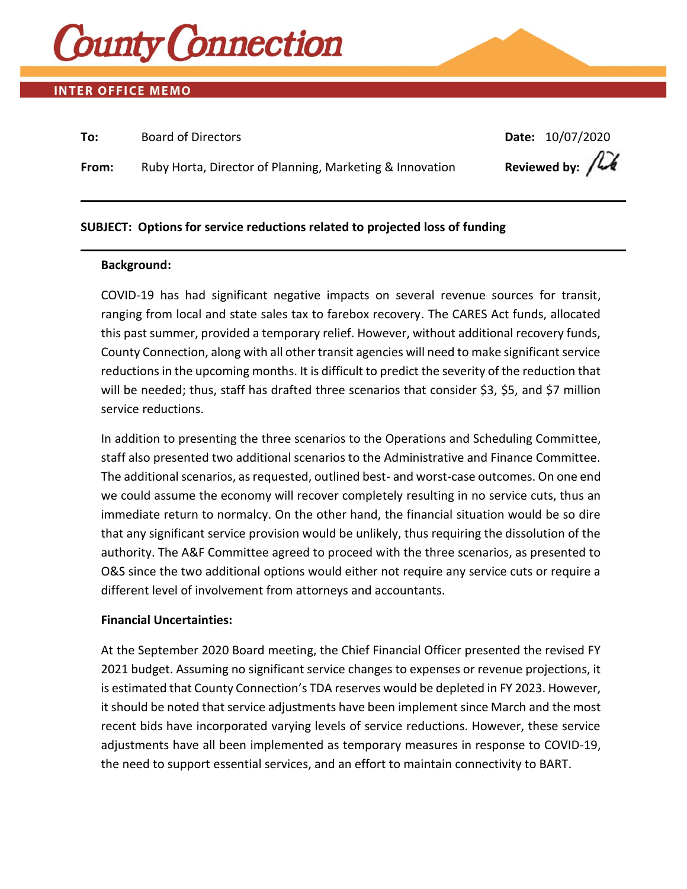

# **INTER OFFICE MEMO**

| To:   | <b>Board of Directors</b>                                | Date: 10/07/2020                            |
|-------|----------------------------------------------------------|---------------------------------------------|
| From: | Ruby Horta, Director of Planning, Marketing & Innovation | Reviewed by: $\int \widetilde{\mathcal{M}}$ |

# **SUBJECT: Options for service reductions related to projected loss of funding**

#### **Background:**

COVID-19 has had significant negative impacts on several revenue sources for transit, ranging from local and state sales tax to farebox recovery. The CARES Act funds, allocated this past summer, provided a temporary relief. However, without additional recovery funds, County Connection, along with all other transit agencies will need to make significant service reductions in the upcoming months. It is difficult to predict the severity of the reduction that will be needed; thus, staff has drafted three scenarios that consider \$3, \$5, and \$7 million service reductions.

In addition to presenting the three scenarios to the Operations and Scheduling Committee, staff also presented two additional scenarios to the Administrative and Finance Committee. The additional scenarios, as requested, outlined best- and worst-case outcomes. On one end we could assume the economy will recover completely resulting in no service cuts, thus an immediate return to normalcy. On the other hand, the financial situation would be so dire that any significant service provision would be unlikely, thus requiring the dissolution of the authority. The A&F Committee agreed to proceed with the three scenarios, as presented to O&S since the two additional options would either not require any service cuts or require a different level of involvement from attorneys and accountants.

### **Financial Uncertainties:**

At the September 2020 Board meeting, the Chief Financial Officer presented the revised FY 2021 budget. Assuming no significant service changes to expenses or revenue projections, it is estimated that County Connection's TDA reserves would be depleted in FY 2023. However, it should be noted that service adjustments have been implement since March and the most recent bids have incorporated varying levels of service reductions. However, these service adjustments have all been implemented as temporary measures in response to COVID-19, the need to support essential services, and an effort to maintain connectivity to BART.